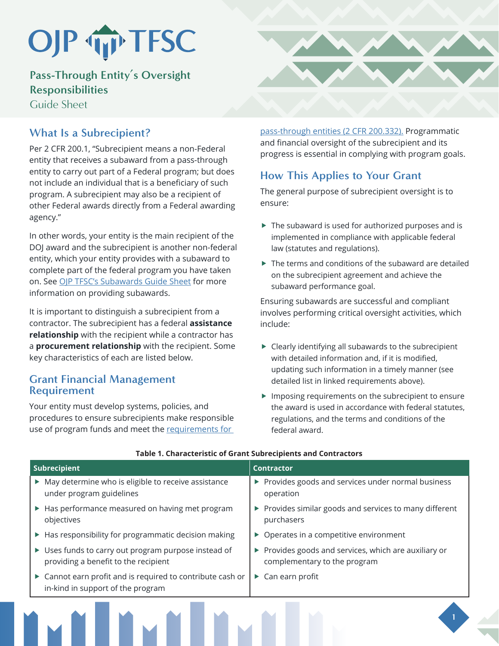# OJP TP TFSC

**Pass-Through Entity's Oversight Responsibilities**

Guide Sheet

# **What Is a Subrecipient?**

Per 2 CFR 200.1, "Subrecipient means a non-Federal entity that receives a subaward from a pass-through entity to carry out part of a Federal program; but does not include an individual that is a beneficiary of such program. A subrecipient may also be a recipient of other Federal awards directly from a Federal awarding agency."

In other words, your entity is the main recipient of the DOJ award and the subrecipient is another non-federal entity, which your entity provides with a subaward to complete part of the federal program you have taken on. See [OJP TFSC's Subawards Guide Sheet](https://www.ojp.gov/training-and-technical-assistance/tfsc/resources) for more information on providing subawards.

It is important to distinguish a subrecipient from a contractor. The subrecipient has a federal **assistance relationship** with the recipient while a contractor has a **procurement relationship** with the recipient. Some key characteristics of each are listed below.

## **Grant Financial Management Requirement**

Your entity must develop systems, policies, and procedures to ensure subrecipients make responsible use of program funds and meet the requirements for



[pass-through entities \(2 CFR 200.332\).](https://ecfr.federalregister.gov/current/title-2/subtitle-A/chapter-II/part-200/subpart-D/subject-group-ECFR031321e29ac5bbd/section-200.332) Programmatic and financial oversight of the subrecipient and its progress is essential in complying with program goals.

# **How This Applies to Your Grant**

The general purpose of subrecipient oversight is to ensure:

- $\blacktriangleright$  The subaward is used for authorized purposes and is implemented in compliance with applicable federal law (statutes and regulations).
- $\blacktriangleright$  The terms and conditions of the subaward are detailed on the subrecipient agreement and achieve the subaward performance goal.

Ensuring subawards are successful and compliant involves performing critical oversight activities, which include:

- $\blacktriangleright$  Clearly identifying all subawards to the subrecipient with detailed information and, if it is modified, updating such information in a timely manner (see detailed list in linked requirements above).
- $\blacktriangleright$  Imposing requirements on the subrecipient to ensure the award is used in accordance with federal statutes, regulations, and the terms and conditions of the federal award.

**1**

| Subrecipient |                                                                                                 | <b>Contractor</b>     |                                                                                       |
|--------------|-------------------------------------------------------------------------------------------------|-----------------------|---------------------------------------------------------------------------------------|
|              | • May determine who is eligible to receive assistance<br>under program guidelines               |                       | ▶ Provides goods and services under normal business<br>operation                      |
|              | ▶ Has performance measured on having met program<br>objectives                                  |                       | ▶ Provides similar goods and services to many different<br>purchasers                 |
|              | ▶ Has responsibility for programmatic decision making                                           |                       | $\triangleright$ Operates in a competitive environment                                |
|              | ▶ Uses funds to carry out program purpose instead of<br>providing a benefit to the recipient    |                       | ▶ Provides goods and services, which are auxiliary or<br>complementary to the program |
|              | ▶ Cannot earn profit and is required to contribute cash or<br>in-kind in support of the program | $\blacktriangleright$ | Can earn profit                                                                       |
|              |                                                                                                 |                       |                                                                                       |

### **Table 1. Characteristic of Grant Subrecipients and Contractors**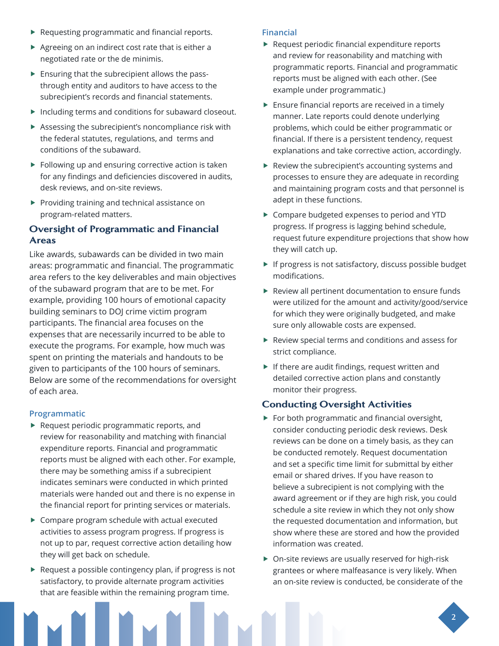- $\blacktriangleright$  Requesting programmatic and financial reports.
- $\blacktriangleright$  Agreeing on an indirect cost rate that is either a negotiated rate or the de minimis.
- $\blacktriangleright$  Ensuring that the subrecipient allows the passthrough entity and auditors to have access to the subrecipient's records and financial statements.
- $\blacktriangleright$  Including terms and conditions for subaward closeout.
- $\blacktriangleright$  Assessing the subrecipient's noncompliance risk with the federal statutes, regulations, and terms and conditions of the subaward.
- $\blacktriangleright$  Following up and ensuring corrective action is taken for any findings and deficiencies discovered in audits, desk reviews, and on-site reviews.
- $\blacktriangleright$  Providing training and technical assistance on program-related matters.

## Oversight of Programmatic and Financial Areas

Like awards, subawards can be divided in two main areas: programmatic and financial. The programmatic area refers to the key deliverables and main objectives of the subaward program that are to be met. For example, providing 100 hours of emotional capacity building seminars to DOJ crime victim program participants. The financial area focuses on the expenses that are necessarily incurred to be able to execute the programs. For example, how much was spent on printing the materials and handouts to be given to participants of the 100 hours of seminars. Below are some of the recommendations for oversight of each area.

## **Programmatic**

- $\blacktriangleright$  Request periodic programmatic reports, and review for reasonability and matching with financial expenditure reports. Financial and programmatic reports must be aligned with each other. For example, there may be something amiss if a subrecipient indicates seminars were conducted in which printed materials were handed out and there is no expense in the financial report for printing services or materials.
- $\triangleright$  Compare program schedule with actual executed activities to assess program progress. If progress is not up to par, request corrective action detailing how they will get back on schedule.
- $\blacktriangleright$  Request a possible contingency plan, if progress is not satisfactory, to provide alternate program activities that are feasible within the remaining program time.

#### **Financial**

- $\blacktriangleright$  Request periodic financial expenditure reports and review for reasonability and matching with programmatic reports. Financial and programmatic reports must be aligned with each other. (See example under programmatic.)
- $\blacktriangleright$  Ensure financial reports are received in a timely manner. Late reports could denote underlying problems, which could be either programmatic or financial. If there is a persistent tendency, request explanations and take corrective action, accordingly.
- $\blacktriangleright$  Review the subrecipient's accounting systems and processes to ensure they are adequate in recording and maintaining program costs and that personnel is adept in these functions.
- ▶ Compare budgeted expenses to period and YTD progress. If progress is lagging behind schedule, request future expenditure projections that show how they will catch up.
- $\blacktriangleright$  If progress is not satisfactory, discuss possible budget modifications.
- $\blacktriangleright$  Review all pertinent documentation to ensure funds were utilized for the amount and activity/good/service for which they were originally budgeted, and make sure only allowable costs are expensed.
- $\blacktriangleright$  Review special terms and conditions and assess for strict compliance.
- $\blacktriangleright$  If there are audit findings, request written and detailed corrective action plans and constantly monitor their progress.

### Conducting Oversight Activities

- $\blacktriangleright$  For both programmatic and financial oversight, consider conducting periodic desk reviews. Desk reviews can be done on a timely basis, as they can be conducted remotely. Request documentation and set a specific time limit for submittal by either email or shared drives. If you have reason to believe a subrecipient is not complying with the award agreement or if they are high risk, you could schedule a site review in which they not only show the requested documentation and information, but show where these are stored and how the provided information was created.
- $\triangleright$  On-site reviews are usually reserved for high-risk grantees or where malfeasance is very likely. When an on-site review is conducted, be considerate of the

**2**